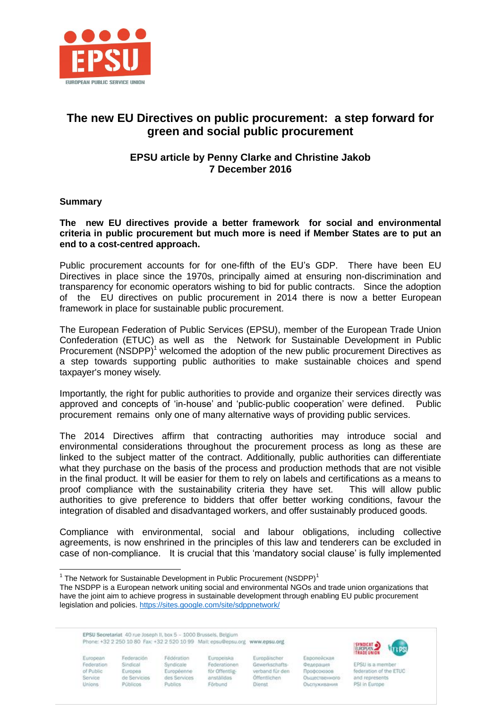

# **The new EU Directives on public procurement: a step forward for green and social public procurement**

# **EPSU article by Penny Clarke and Christine Jakob 7 December 2016**

### **Summary**

#### **The new EU directives provide a better framework for social and environmental criteria in public procurement but much more is need if Member States are to put an end to a cost-centred approach.**

Public procurement accounts for for one-fifth of the EU's GDP. There have been EU Directives in place since the 1970s, principally aimed at ensuring non-discrimination and transparency for economic operators wishing to bid for public contracts. Since the adoption of the EU directives on public procurement in 2014 there is now a better European framework in place for sustainable public procurement.

The European Federation of Public Services (EPSU), member of the European Trade Union Confederation (ETUC) as well as the Network for Sustainable Development in Public Procurement  $(NSDPP)^1$  welcomed the adoption of the new public procurement Directives as a step towards supporting public authorities to make sustainable choices and spend taxpayer's money wisely.

Importantly, the right for public authorities to provide and organize their services directly was approved and concepts of 'in-house' and 'public-public cooperation' were defined. Public procurement remains only one of many alternative ways of providing public services.

The 2014 Directives affirm that contracting authorities may introduce social and environmental considerations throughout the procurement process as long as these are linked to the subject matter of the contract. Additionally, public authorities can differentiate what they purchase on the basis of the process and production methods that are not visible in the final product. It will be easier for them to rely on labels and certifications as a means to proof compliance with the sustainability criteria they have set. This will allow public authorities to give preference to bidders that offer better working conditions, favour the integration of disabled and disadvantaged workers, and offer sustainably produced goods.

Compliance with environmental, social and labour obligations, including collective agreements, is now enshrined in the principles of this law and tenderers can be excluded in case of non-compliance. It is crucial that this 'mandatory social clause' is fully implemented

EPSU Secretariat 40 rue Joseph II, box 5 - 1000 Brussels, Belgium Phone: +32 2 250 10 80 Fax: +32 2 520 10 99 Mail: eosu@eosu.org www.epsu.org

European Federation of Public Service **Unions** 

 $\overline{a}$ 

Federación Sindical Europea de Servicios Públicos

Fédération Syndicale Européenne des Services Publics

Furopeiska Federationen för Offentliganställdas Förbund

Europäischer Gewerkschaftsverband für den Öffentlichen **Dienst** 

Ennone@cicag Федерация Профсоюзов Оъщественного Оъспокназния



EPSU is a member federation of the ETUC and represents PSI in Europe

<sup>&</sup>lt;sup>1</sup> The Network for Sustainable Development in Public Procurement (NSDPP)<sup>1</sup>

The NSDPP is a European network uniting social and environmental NGOs and trade union organizations that have the joint aim to achieve progress in sustainable development through enabling EU public procurement legislation and policies.<https://sites.google.com/site/sdppnetwork/>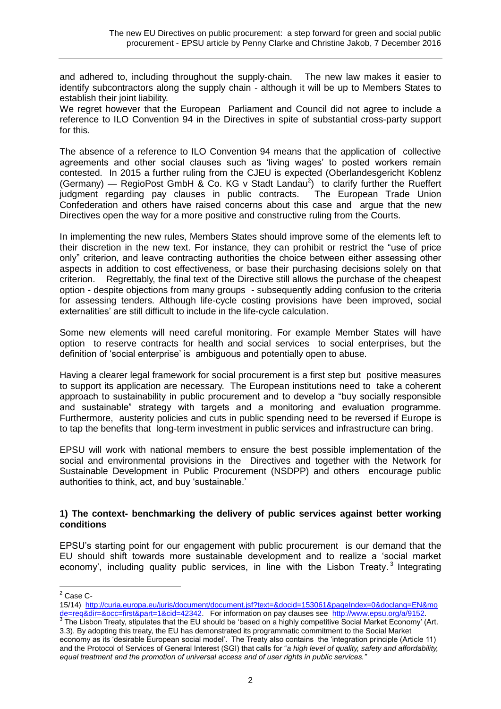and adhered to, including throughout the supply-chain. The new law makes it easier to identify subcontractors along the supply chain - although it will be up to Members States to establish their joint liability.

We regret however that the European Parliament and Council did not agree to include a reference to ILO Convention 94 in the Directives in spite of substantial cross-party support for this.

The absence of a reference to ILO Convention 94 means that the application of collective agreements and other social clauses such as 'living wages' to posted workers remain contested. In 2015 a further ruling from the CJEU is expected (Oberlandesgericht Koblenz (Germany) — RegioPost GmbH & Co. KG v Stadt Landau<sup>2</sup>) to clarify further the Rueffert judgment regarding pay clauses in public contracts. The European Trade Union Confederation and others have raised concerns about this case and argue that the new Directives open the way for a more positive and constructive ruling from the Courts.

In implementing the new rules, Members States should improve some of the elements left to their discretion in the new text. For instance, they can prohibit or restrict the "use of price only" criterion, and leave contracting authorities the choice between either assessing other aspects in addition to cost effectiveness, or base their purchasing decisions solely on that criterion. Regrettably, the final text of the Directive still allows the purchase of the cheapest option - despite objections from many groups - subsequently adding confusion to the criteria for assessing tenders. Although life-cycle costing provisions have been improved, social externalities' are still difficult to include in the life-cycle calculation.

Some new elements will need careful monitoring. For example Member States will have option to reserve contracts for health and social services to social enterprises, but the definition of 'social enterprise' is ambiguous and potentially open to abuse.

Having a clearer legal framework for social procurement is a first step but positive measures to support its application are necessary. The European institutions need to take a coherent approach to sustainability in public procurement and to develop a "buy socially responsible and sustainable" strategy with targets and a monitoring and evaluation programme. Furthermore, austerity policies and cuts in public spending need to be reversed if Europe is to tap the benefits that long-term investment in public services and infrastructure can bring.

EPSU will work with national members to ensure the best possible implementation of the social and environmental provisions in the Directives and together with the Network for Sustainable Development in Public Procurement (NSDPP) and others encourage public authorities to think, act, and buy 'sustainable.'

### **1) The context- benchmarking the delivery of public services against better working conditions**

EPSU's starting point for our engagement with public procurement is our demand that the EU should shift towards more sustainable development and to realize a 'social market economy', including quality public services, in line with the Lisbon Treaty.<sup>3</sup> Integrating

 $\overline{a}$  $^2$  Case C-

<sup>15/14)</sup> [http://curia.europa.eu/juris/document/document.jsf?text=&docid=153061&pageIndex=0&doclang=EN&mo](http://my.epsu.org/sites/all/modules/civicrm/extern/url.php?u=34704&qid=1111508) <u>de=req&dir=&occ=first&part=1&cid=42342</u>. For information on pay clauses see <u>http://www.epsu.org/a/9152</u>.<br><sup>3</sup> The Lisbon Treaty, stipulates that the EU should be 'based on a highly competitive Social Market Economy' (A

<sup>3.3).</sup> By adopting this treaty, the EU has demonstrated its programmatic commitment to the Social Market economy as its 'desirable European social model'. The Treaty also contains the 'integration principle (Article 11) and the Protocol of Services of General Interest (SGI) that calls for "*a high level of quality, safety and affordability, equal treatment and the promotion of universal access and of user rights in public services."*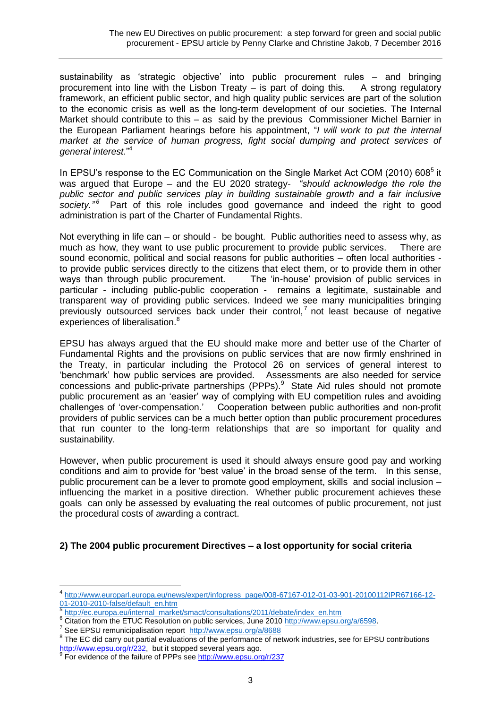sustainability as 'strategic objective' into public procurement rules – and bringing procurement into line with the Lisbon Treaty – is part of doing this. A strong regulatory framework, an efficient public sector, and high quality public services are part of the solution to the economic crisis as well as the long-term development of our societies. The Internal Market should contribute to this – as said by the previous Commissioner Michel Barnier in the European Parliament hearings before his appointment, "*I will work to put the internal market at the service of human progress, fight social dumping and protect services of general interest.*" 4

In EPSU's response to the EC Communication on the Single Market Act COM (2010) 608 $5$  it was argued that Europe – and the EU 2020 strategy*- "should acknowledge the role the public sector and public services play in building sustainable growth and a fair inclusive*  society.<sup>"6</sup> Part of this role includes good governance and indeed the right to good administration is part of the Charter of Fundamental Rights.

Not everything in life can – or should - be bought. Public authorities need to assess why, as much as how, they want to use public procurement to provide public services. There are sound economic, political and social reasons for public authorities – often local authorities to provide public services directly to the citizens that elect them, or to provide them in other ways than through public procurement. The 'in-house' provision of public services in particular - including public-public cooperation - remains a legitimate, sustainable and transparent way of providing public services. Indeed we see many municipalities bringing previously outsourced services back under their control,<sup>7</sup> not least because of negative experiences of liberalisation.<sup>8</sup>

EPSU has always argued that the EU should make more and better use of the Charter of Fundamental Rights and the provisions on public services that are now firmly enshrined in the Treaty, in particular including the Protocol 26 on services of general interest to 'benchmark' how public services are provided. Assessments are also needed for service concessions and public-private partnerships (PPPs). $9$  State Aid rules should not promote public procurement as an 'easier' way of complying with EU competition rules and avoiding challenges of 'over-compensation.' Cooperation between public authorities and non-profit providers of public services can be a much better option than public procurement procedures that run counter to the long-term relationships that are so important for quality and sustainability.

However, when public procurement is used it should always ensure good pay and working conditions and aim to provide for 'best value' in the broad sense of the term. In this sense, public procurement can be a lever to promote good employment, skills and social inclusion – influencing the market in a positive direction. Whether public procurement achieves these goals can only be assessed by evaluating the real outcomes of public procurement, not just the procedural costs of awarding a contract.

# **2) The 2004 public procurement Directives – a lost opportunity for social criteria**

 4 [http://www.europarl.europa.eu/news/expert/infopress\\_page/008-67167-012-01-03-901-20100112IPR67166-12-](http://www.europarl.europa.eu/news/expert/infopress_page/008-67167-012-01-03-901-20100112IPR67166-12-01-2010-2010-false/default_en.htm) [01-2010-2010-false/default\\_en.htm](http://www.europarl.europa.eu/news/expert/infopress_page/008-67167-012-01-03-901-20100112IPR67166-12-01-2010-2010-false/default_en.htm)<br>5 http://ee.europe.ou/internal\_marks

[http://ec.europa.eu/internal\\_market/smact/consultations/2011/debate/index\\_en.htm](http://ec.europa.eu/internal_market/smact/consultations/2011/debate/index_en.htm)

<sup>6</sup> Citation from the ETUC Resolution on public services, June 2010 [http://www.epsu.org/a/6598.](http://www.epsu.org/a/6598)

<sup>&</sup>lt;sup>7</sup> See EPSU remunicipalisation report <http://www.epsu.org/a/8688>

 $8$  The EC did carry out partial evaluations of the performance of network industries, see for EPSU contributions [http://www.epsu.org/r/232,](http://www.epsu.org/r/232) but it stopped several years ago.<br><sup>9</sup> Fer suidance of the failure of PPPs ago http://www.epsu.or

For evidence of the failure of PPPs see<http://www.epsu.org/r/237>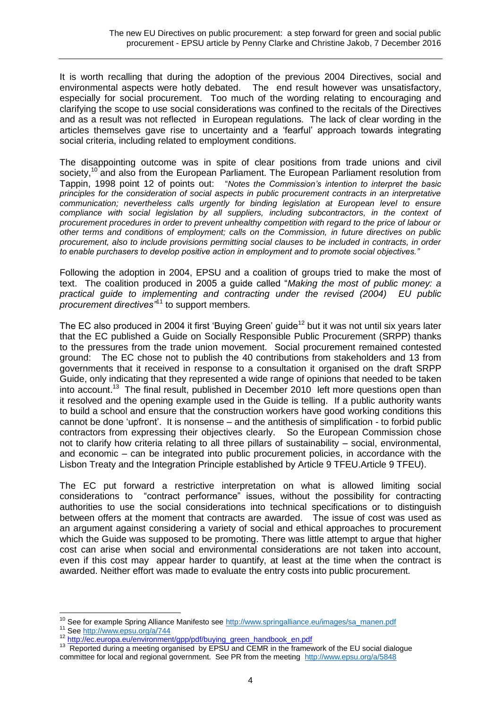It is worth recalling that during the adoption of the previous 2004 Directives, social and environmental aspects were hotly debated. The end result however was unsatisfactory, especially for social procurement. Too much of the wording relating to encouraging and clarifying the scope to use social considerations was confined to the recitals of the Directives and as a result was not reflected in European regulations. The lack of clear wording in the articles themselves gave rise to uncertainty and a 'fearful' approach towards integrating social criteria, including related to employment conditions.

The disappointing outcome was in spite of clear positions from trade unions and civil society,<sup>10</sup> and also from the European Parliament. The European Parliament resolution from Tappin, 1998 point 12 of points out: "*Notes the Commission's intention to interpret the basic principles for the consideration of social aspects in public procurement contracts in an interpretative communication; nevertheless calls urgently for binding legislation at European level to ensure compliance with social legislation by all suppliers, including subcontractors, in the context of procurement procedures in order to prevent unhealthy competition with regard to the price of labour or other terms and conditions of employment; calls on the Commission, in future directives on public procurement, also to include provisions permitting social clauses to be included in contracts, in order to enable purchasers to develop positive action in employment and to promote social objectives."* 

Following the adoption in 2004, EPSU and a coalition of groups tried to make the most of text. The coalition produced in 2005 a guide called "*Making the most of public money: a practical guide to implementing and contracting under the revised (2004) EU public procurement directives"*<sup>11</sup> to support members.

The EC also produced in 2004 it first 'Buying Green' guide<sup>12</sup> but it was not until six years later that the EC published a Guide on Socially Responsible Public Procurement (SRPP) thanks to the pressures from the trade union movement. Social procurement remained contested ground: The EC chose not to publish the 40 contributions from stakeholders and 13 from governments that it received in response to a consultation it organised on the draft SRPP Guide, only indicating that they represented a wide range of opinions that needed to be taken into account.<sup>13</sup> The final result, published in December 2010 left more questions open than it resolved and the opening example used in the Guide is telling. If a public authority wants to build a school and ensure that the construction workers have good working conditions this cannot be done 'upfront'. It is nonsense – and the antithesis of simplification - to forbid public contractors from expressing their objectives clearly. So the European Commission chose not to clarify how criteria relating to all three pillars of sustainability – social, environmental, and economic – can be integrated into public procurement policies, in accordance with the Lisbon Treaty and the Integration Principle established by Article 9 TFEU.Article 9 TFEU).

The EC put forward a restrictive interpretation on what is allowed limiting social considerations to "contract performance" issues, without the possibility for contracting authorities to use the social considerations into technical specifications or to distinguish between offers at the moment that contracts are awarded. The issue of cost was used as an argument against considering a variety of social and ethical approaches to procurement which the Guide was supposed to be promoting. There was little attempt to argue that higher cost can arise when social and environmental considerations are not taken into account, even if this cost may appear harder to quantify, at least at the time when the contract is awarded. Neither effort was made to evaluate the entry costs into public procurement.

<sup>&</sup>lt;sup>10</sup> See for example Spring Alliance Manifesto see [http://www.springalliance.eu/images/sa\\_manen.pdf](http://www.springalliance.eu/images/sa_manen.pdf)

<sup>11</sup> Se[e http://www.epsu.org/a/744](http://www.epsu.org/a/744)

<sup>12</sup> http://ec.europa.eu/environment/gpp/pdf/buying\_green\_handbook\_en.pdf

<sup>&</sup>lt;sup>13</sup> Reported during a meeting organised by EPSU and CEMR in the framework of the EU social dialogue committee for local and regional government. See PR from the meeting <http://www.epsu.org/a/5848>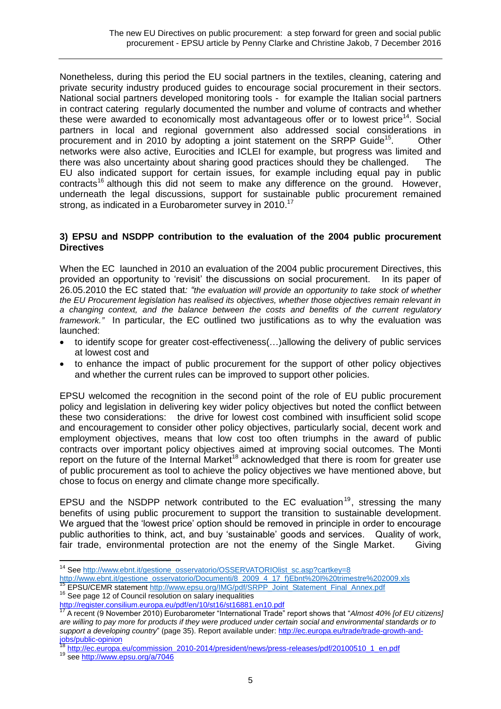Nonetheless, during this period the EU social partners in the textiles, cleaning, catering and private security industry produced guides to encourage social procurement in their sectors. National social partners developed monitoring tools - for example the Italian social partners in contract catering regularly documented the number and volume of contracts and whether these were awarded to economically most advantageous offer or to lowest price<sup>14</sup>. Social partners in local and regional government also addressed social considerations in procurement and in 2010 by adopting a joint statement on the SRPP Guide<sup>15</sup>. . Other networks were also active, Eurocities and ICLEI for example, but progress was limited and there was also uncertainty about sharing good practices should they be challenged. The EU also indicated support for certain issues, for example including equal pay in public contracts<sup>16</sup> although this did not seem to make any difference on the ground. However, underneath the legal discussions, support for sustainable public procurement remained strong, as indicated in a Eurobarometer survey in 2010.<sup>17</sup>

### **3) EPSU and NSDPP contribution to the evaluation of the 2004 public procurement Directives**

When the EC launched in 2010 an evaluation of the 2004 public procurement Directives, this provided an opportunity to 'revisit' the discussions on social procurement. In its paper of 26.05.2010 the EC stated that*: "the evaluation will provide an opportunity to take stock of whether the EU Procurement legislation has realised its objectives, whether those objectives remain relevant in a changing context, and the balance between the costs and benefits of the current regulatory framework."* In particular, the EC outlined two justifications as to why the evaluation was launched:

- to identify scope for greater cost-effectiveness(…)allowing the delivery of public services at lowest cost and
- to enhance the impact of public procurement for the support of other policy objectives and whether the current rules can be improved to support other policies.

EPSU welcomed the recognition in the second point of the role of EU public procurement policy and legislation in delivering key wider policy objectives but noted the conflict between these two considerations: the drive for lowest cost combined with insufficient solid scope and encouragement to consider other policy objectives, particularly social, decent work and employment objectives, means that low cost too often triumphs in the award of public contracts over important policy objectives aimed at improving social outcomes. The Monti report on the future of the Internal Market<sup>18</sup> acknowledged that there is room for greater use of public procurement as tool to achieve the policy objectives we have mentioned above, but chose to focus on energy and climate change more specifically.

EPSU and the NSDPP network contributed to the EC evaluation<sup>19</sup>, stressing the many benefits of using public procurement to support the transition to sustainable development. We argued that the 'lowest price' option should be removed in principle in order to encourage public authorities to think, act, and buy 'sustainable' goods and services. Quality of work, fair trade, environmental protection are not the enemy of the Single Market. Giving

<sup>&</sup>lt;sup>14</sup> Se[e http://www.ebnt.it/gestione\\_osservatorio/OSSERVATORIOlist\\_sc.asp?cartkey=8](http://www.ebnt.it/gestione_osservatorio/OSSERVATORIOlist_sc.asp?cartkey=8)

[http://www.ebnt.it/gestione\\_osservatorio/Documenti/8\\_2009\\_4\\_17\\_f\)Ebnt%20I%20trimestre%202009.xls](http://www.ebnt.it/gestione_osservatorio/Documenti/8_2009_4_17_f)Ebnt%20I%20trimestre%202009.xls) <sup>15</sup> EPSU/CEMR statement [http://www.epsu.org/IMG/pdf/SRPP\\_Joint\\_Statement\\_Final\\_Annex.pdf](http://www.epsu.org/IMG/pdf/SRPP_Joint_Statement_Final_Annex.pdf)

<sup>&</sup>lt;sup>16</sup> See page 12 of Council resolution on salary inequalities

<http://register.consilium.europa.eu/pdf/en/10/st16/st16881.en10.pdf>

<sup>17</sup> A recent (9 November 2010) Eurobarometer "International Trade" report shows that "*Almost 40% [of EU citizens] are willing to pay more for products if they were produced under certain social and environmental standards or to support a developing country*" (page 35). Report available under: [http://ec.europa.eu/trade/trade-growth-and](http://ec.europa.eu/trade/trade-growth-and-jobs/public-opinion)[jobs/public-opinion](http://ec.europa.eu/trade/trade-growth-and-jobs/public-opinion)

http://ec.europa.eu/commission\_2010-2014/president/news/press-releases/pdf/20100510\_1\_en.pdf

<sup>19</sup> see<http://www.epsu.org/a/7046>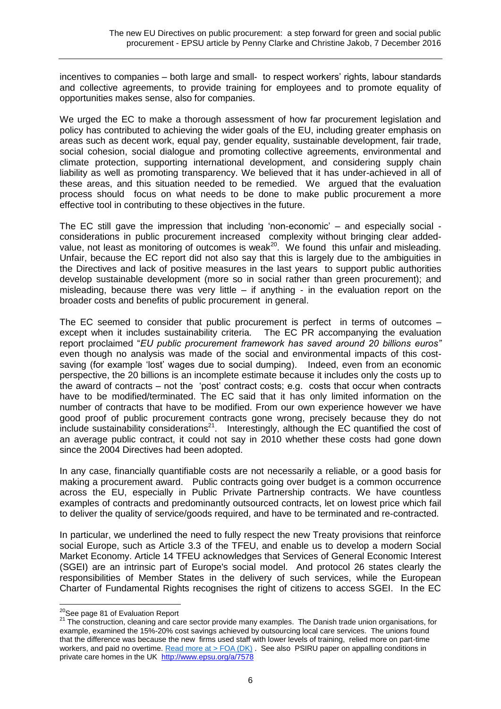incentives to companies – both large and small- to respect workers' rights, labour standards and collective agreements, to provide training for employees and to promote equality of opportunities makes sense, also for companies.

We urged the EC to make a thorough assessment of how far procurement legislation and policy has contributed to achieving the wider goals of the EU, including greater emphasis on areas such as decent work, equal pay, gender equality, sustainable development, fair trade, social cohesion, social dialogue and promoting collective agreements, environmental and climate protection, supporting international development, and considering supply chain liability as well as promoting transparency. We believed that it has under-achieved in all of these areas, and this situation needed to be remedied. We argued that the evaluation process should focus on what needs to be done to make public procurement a more effective tool in contributing to these objectives in the future.

The EC still gave the impression that including 'non-economic' – and especially social considerations in public procurement increased complexity without bringing clear addedvalue, not least as monitoring of outcomes is weak<sup>20</sup>. We found this unfair and misleading. Unfair, because the EC report did not also say that this is largely due to the ambiguities in the Directives and lack of positive measures in the last years to support public authorities develop sustainable development (more so in social rather than green procurement); and misleading, because there was very little  $-$  if anything  $-$  in the evaluation report on the broader costs and benefits of public procurement in general.

The EC seemed to consider that public procurement is perfect in terms of outcomes – except when it includes sustainability criteria. The EC PR accompanying the evaluation report proclaimed "*EU public procurement framework has saved around 20 billions euros"*  even though no analysis was made of the social and environmental impacts of this costsaving (for example 'lost' wages due to social dumping). Indeed, even from an economic perspective, the 20 billions is an incomplete estimate because it includes only the costs up to the award of contracts – not the 'post' contract costs; e.g. costs that occur when contracts have to be modified/terminated. The EC said that it has only limited information on the number of contracts that have to be modified. From our own experience however we have good proof of public procurement contracts gone wrong, precisely because they do not include sustainability considerations<sup>21</sup>. Interestingly, although the EC quantified the cost of an average public contract, it could not say in 2010 whether these costs had gone down since the 2004 Directives had been adopted.

In any case, financially quantifiable costs are not necessarily a reliable, or a good basis for making a procurement award. Public contracts going over budget is a common occurrence across the EU, especially in Public Private Partnership contracts. We have countless examples of contracts and predominantly outsourced contracts, let on lowest price which fail to deliver the quality of service/goods required, and have to be terminated and re-contracted.

In particular, we underlined the need to fully respect the new Treaty provisions that reinforce social Europe, such as Article 3.3 of the TFEU, and enable us to develop a modern Social Market Economy. Article 14 TFEU acknowledges that Services of General Economic Interest (SGEI) are an intrinsic part of Europe's social model. And protocol 26 states clearly the responsibilities of Member States in the delivery of such services, while the European Charter of Fundamental Rights recognises the right of citizens to access SGEI. In the EC

<sup>&</sup>lt;sup>20</sup>See page 81 of Evaluation Report

<sup>21</sup> The construction, cleaning and care sector provide many examples. The Danish trade union organisations, for example, examined the 15%-20% cost savings achieved by outsourcing local care services. The unions found that the difference was because the new firms used staff with lower levels of training, relied more on part-time workers, and paid no overtime. [Read more at > FOA \(DK\)](http://my.epsu.org/sites/all/modules/civi.30/extern/url.php?u=3594&qid=75713). See also PSIRU paper on appalling conditions in private care homes in the UK <http://www.epsu.org/a/7578>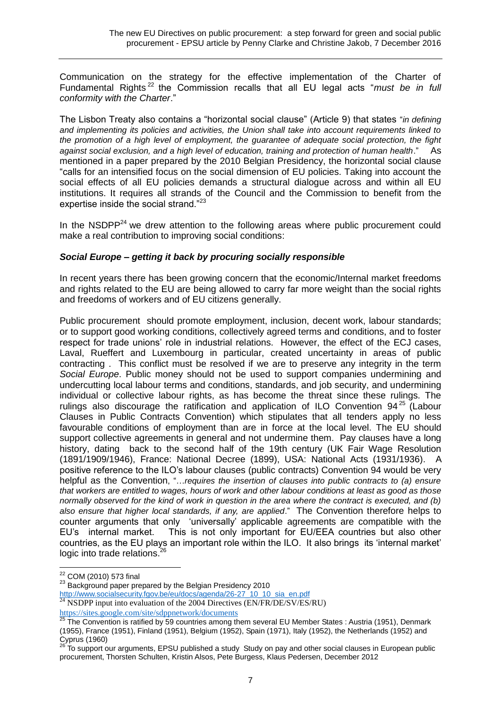Communication on the strategy for the effective implementation of the Charter of Fundamental Rights <sup>22</sup> the Commission recalls that all EU legal acts "*must be in full conformity with the Charter*."

The Lisbon Treaty also contains a "horizontal social clause" (Article 9) that states "*in defining and implementing its policies and activities, the Union shall take into account requirements linked to the promotion of a high level of employment, the guarantee of adequate social protection, the fight against social exclusion, and a high level of education, training and protection of human health*." As mentioned in a paper prepared by the 2010 Belgian Presidency, the horizontal social clause "calls for an intensified focus on the social dimension of EU policies. Taking into account the social effects of all EU policies demands a structural dialogue across and within all EU institutions. It requires all strands of the Council and the Commission to benefit from the expertise inside the social strand."<sup>23</sup>

In the  $NSDPP<sup>24</sup>$  we drew attention to the following areas where public procurement could make a real contribution to improving social conditions:

## *Social Europe – getting it back by procuring socially responsible*

In recent years there has been growing concern that the economic/Internal market freedoms and rights related to the EU are being allowed to carry far more weight than the social rights and freedoms of workers and of EU citizens generally.

Public procurement should promote employment, inclusion, decent work, labour standards; or to support good working conditions, collectively agreed terms and conditions, and to foster respect for trade unions' role in industrial relations. However, the effect of the ECJ cases, Laval, Rueffert and Luxembourg in particular, created uncertainty in areas of public contracting . This conflict must be resolved if we are to preserve any integrity in the term *Social Europe*. Public money should not be used to support companies undermining and undercutting local labour terms and conditions, standards, and job security, and undermining individual or collective labour rights, as has become the threat since these rulings. The rulings also discourage the ratification and application of ILO Convention  $94^{25}$  (Labour Clauses in Public Contracts Convention) which stipulates that all tenders apply no less favourable conditions of employment than are in force at the local level. The EU should support collective agreements in general and not undermine them. Pay clauses have a long history, dating back to the second half of the 19th century (UK Fair Wage Resolution (1891/1909/1946), France: National Decree (1899), USA: National Acts (1931/1936). A positive reference to the ILO's labour clauses (public contracts) Convention 94 would be very helpful as the Convention, "...*requires the insertion of clauses into public contracts to (a) ensure that workers are entitled to wages, hours of work and other labour conditions at least as good as those normally observed for the kind of work in question in the area where the contract is executed, and (b) also ensure that higher local standards, if any, are applied*." The Convention therefore helps to counter arguments that only 'universally' applicable agreements are compatible with the EU's internal market. This is not only important for EU/EEA countries but also other countries, as the EU plays an important role within the ILO. It also brings its 'internal market' logic into trade relations.<sup>26</sup>

 $\overline{a}$  $^{22}$  COM (2010) 573 final

<sup>23</sup> Background paper prepared by the Belgian Presidency 2010

[http://www.socialsecurity.fgov.be/eu/docs/agenda/26-27\\_10\\_10\\_sia\\_en.pdf](http://www.socialsecurity.fgov.be/eu/docs/agenda/26-27_10_10_sia_en.pdf)

 $^{24}$  NSDPP input into evaluation of the 2004 Directives (EN/FR/DE/SV/ES/RU) <https://sites.google.com/site/sdppnetwork/documents>

<sup>25</sup> The Convention is ratified by 59 countries among them several EU Member States : Austria (1951), Denmark (1955), France (1951), Finland (1951), Belgium (1952), Spain (1971), Italy (1952), the Netherlands (1952) and Cyprus (1960)

<sup>26</sup> To support our arguments, EPSU published a study Study on pay and other social clauses in European public procurement, Thorsten Schulten, Kristin Alsos, Pete Burgess, Klaus Pedersen, December 2012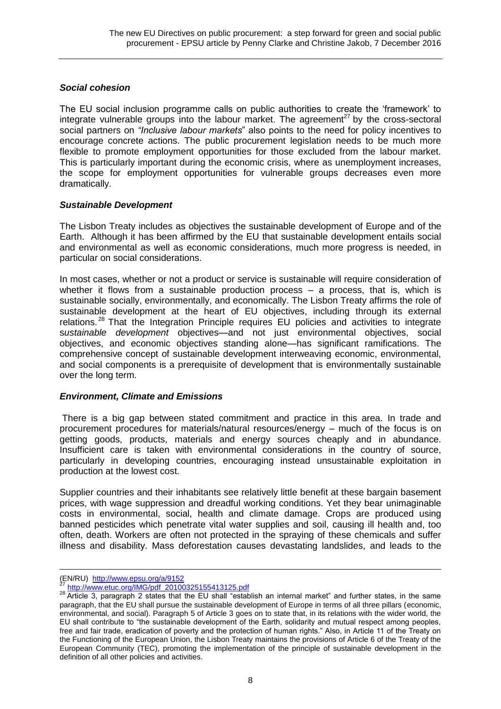### *Social cohesion*

The EU social inclusion programme calls on public authorities to create the 'framework' to integrate vulnerable groups into the labour market. The agreement<sup>27</sup> by the cross-sectoral social partners on *"Inclusive labour markets*" also points to the need for policy incentives to encourage concrete actions. The public procurement legislation needs to be much more flexible to promote employment opportunities for those excluded from the labour market. This is particularly important during the economic crisis, where as unemployment increases, the scope for employment opportunities for vulnerable groups decreases even more dramatically.

### *Sustainable Development*

The Lisbon Treaty includes as objectives the sustainable development of Europe and of the Earth. Although it has been affirmed by the EU that sustainable development entails social and environmental as well as economic considerations, much more progress is needed, in particular on social considerations.

In most cases, whether or not a product or service is sustainable will require consideration of whether it flows from a sustainable production process – a process, that is, which is sustainable socially, environmentally, and economically. The Lisbon Treaty affirms the role of sustainable development at the heart of EU objectives, including through its external relations. <sup>28</sup> That the Integration Principle requires EU policies and activities to integrate s*ustainable development* objectives—and not just environmental objectives, social objectives, and economic objectives standing alone—has significant ramifications. The comprehensive concept of sustainable development interweaving economic, environmental, and social components is a prerequisite of development that is environmentally sustainable over the long term.

### *Environment, Climate and Emissions*

There is a big gap between stated commitment and practice in this area. In trade and procurement procedures for materials/natural resources/energy – much of the focus is on getting goods, products, materials and energy sources cheaply and in abundance. Insufficient care is taken with environmental considerations in the country of source, particularly in developing countries, encouraging instead unsustainable exploitation in production at the lowest cost.

Supplier countries and their inhabitants see relatively little benefit at these bargain basement prices, with wage suppression and dreadful working conditions. Yet they bear unimaginable costs in environmental, social, health and climate damage. Crops are produced using banned pesticides which penetrate vital water supplies and soil, causing ill health and, too often, death. Workers are often not protected in the spraying of these chemicals and suffer illness and disability. Mass deforestation causes devastating landslides, and leads to the

(EN/RU) <http://www.epsu.org/a/9152>

http://www.etuc.org/IMG/pdf\_20100325155413125.pdf

<sup>28</sup> Article 3, paragraph 2 states that the EU shall "establish an internal market" and further states, in the same paragraph, that the EU shall pursue the sustainable development of Europe in terms of all three pillars (economic, environmental, and social). Paragraph 5 of Article 3 goes on to state that, in its relations with the wider world, the EU shall contribute to "the sustainable development of the Earth, solidarity and mutual respect among peoples, free and fair trade, eradication of poverty and the protection of human rights." Also, in Article 11 of the Treaty on the Functioning of the European Union, the Lisbon Treaty maintains the provisions of Article 6 of the Treaty of the European Community (TEC), promoting the implementation of the principle of sustainable development in the definition of all other policies and activities.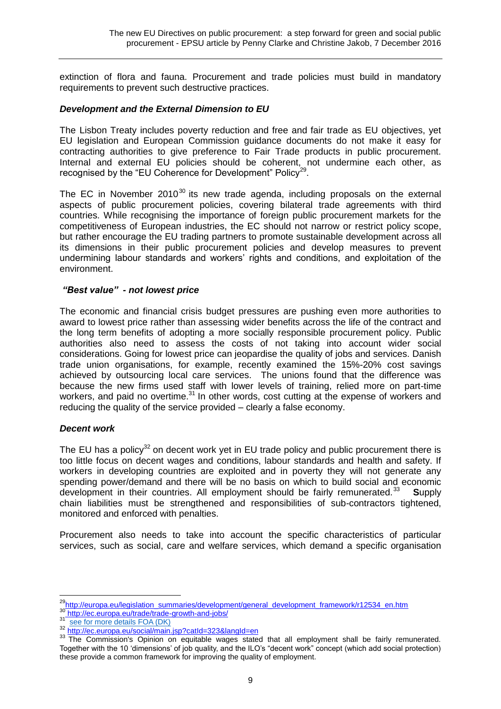extinction of flora and fauna. Procurement and trade policies must build in mandatory requirements to prevent such destructive practices.

### *Development and the External Dimension to EU*

The Lisbon Treaty includes poverty reduction and free and fair trade as EU objectives, yet EU legislation and European Commission guidance documents do not make it easy for contracting authorities to give preference to Fair Trade products in public procurement. Internal and external EU policies should be coherent, not undermine each other, as recognised by the "EU Coherence for Development" Policy<sup>29</sup>.

The EC in November  $2010^{30}$  its new trade agenda, including proposals on the external aspects of public procurement policies, covering bilateral trade agreements with third countries. While recognising the importance of foreign public procurement markets for the competitiveness of European industries, the EC should not narrow or restrict policy scope, but rather encourage the EU trading partners to promote sustainable development across all its dimensions in their public procurement policies and develop measures to prevent undermining labour standards and workers' rights and conditions, and exploitation of the environment.

#### *"Best value" - not lowest price*

The economic and financial crisis budget pressures are pushing even more authorities to award to lowest price rather than assessing wider benefits across the life of the contract and the long term benefits of adopting a more socially responsible procurement policy. Public authorities also need to assess the costs of not taking into account wider social considerations. Going for lowest price can jeopardise the quality of jobs and services. Danish trade union organisations, for example, recently examined the 15%-20% cost savings achieved by outsourcing local care services. The unions found that the difference was because the new firms used staff with lower levels of training, relied more on part-time workers, and paid no overtime.<sup>31</sup> In other words, cost cutting at the expense of workers and reducing the quality of the service provided – clearly a false economy.

### *Decent work*

 $\overline{a}$ 

The EU has a policy<sup>32</sup> on decent work yet in EU trade policy and public procurement there is too little focus on decent wages and conditions, labour standards and health and safety. If workers in developing countries are exploited and in poverty they will not generate any spending power/demand and there will be no basis on which to build social and economic development in their countries. All employment should be fairly remunerated.<sup>33</sup>  **S**upply chain liabilities must be strengthened and responsibilities of sub-contractors tightened, monitored and enforced with penalties.

Procurement also needs to take into account the specific characteristics of particular services, such as social, care and welfare services, which demand a specific organisation

<sup>&</sup>lt;sup>29</sup>http://europa.eu/legislation\_summaries/development/general\_development\_framework/r12534\_en.htm 30 http://ec.europa.eu/trade/trade-growth-and-jobs/<br>31 http://ec.europa.eu/trade/trade-growth-and-jobs/

<sup>&</sup>lt;sup>31</sup> [see for more details FOA \(DK\)](http://my.epsu.org/sites/all/modules/civi.30/extern/url.php?u=3594&qid=75713)

<sup>32</sup> http://ec.europa.eu/social/main.jsp?catId=323&langId=en

<sup>&</sup>lt;sup>33</sup> The Commission's Opinion on equitable wages stated that all employment shall be fairly remunerated. Together with the 10 'dimensions' of job quality, and the ILO's "decent work" concept (which add social protection) these provide a common framework for improving the quality of employment.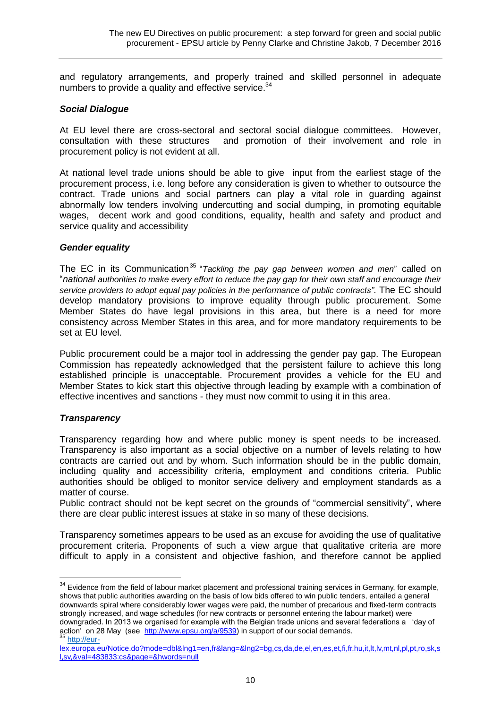and regulatory arrangements, and properly trained and skilled personnel in adequate numbers to provide a quality and effective service.<sup>34</sup>

#### *Social Dialogue*

At EU level there are cross-sectoral and sectoral social dialogue committees. However, consultation with these structures and promotion of their involvement and role in procurement policy is not evident at all.

At national level trade unions should be able to give input from the earliest stage of the procurement process, i.e. long before any consideration is given to whether to outsource the contract. Trade unions and social partners can play a vital role in guarding against abnormally low tenders involving undercutting and social dumping, in promoting equitable wages, decent work and good conditions, equality, health and safety and product and service quality and accessibility

#### *Gender equality*

The EC in its Communication<sup>35</sup> "Tackling the pay gap between women and men" called on "*national authorities to make every effort to reduce the pay gap for their own staff and encourage their service providers to adopt equal pay policies in the performance of public contracts"*. The EC should develop mandatory provisions to improve equality through public procurement. Some Member States do have legal provisions in this area, but there is a need for more consistency across Member States in this area, and for more mandatory requirements to be set at EU level.

Public procurement could be a major tool in addressing the gender pay gap. The European Commission has repeatedly acknowledged that the persistent failure to achieve this long established principle is unacceptable. Procurement provides a vehicle for the EU and Member States to kick start this objective through leading by example with a combination of effective incentives and sanctions - they must now commit to using it in this area.

### *Transparency*

Transparency regarding how and where public money is spent needs to be increased. Transparency is also important as a social objective on a number of levels relating to how contracts are carried out and by whom. Such information should be in the public domain, including quality and accessibility criteria, employment and conditions criteria. Public authorities should be obliged to monitor service delivery and employment standards as a matter of course.

Public contract should not be kept secret on the grounds of "commercial sensitivity", where there are clear public interest issues at stake in so many of these decisions.

Transparency sometimes appears to be used as an excuse for avoiding the use of qualitative procurement criteria. Proponents of such a view argue that qualitative criteria are more difficult to apply in a consistent and objective fashion, and therefore cannot be applied

 $\overline{a}$  $34$  Evidence from the field of labour market placement and professional training services in Germany, for example, shows that public authorities awarding on the basis of low bids offered to win public tenders, entailed a general downwards spiral where considerably lower wages were paid, the number of precarious and fixed-term contracts strongly increased, and wage schedules (for new contracts or personnel entering the labour market) were downgraded. In 2013 we organised for example with the Belgian trade unions and several federations a 'day of action' on 28 May (see [http://www.epsu.org/a/9539\)](http://www.epsu.org/a/9539) in support of our social demands. <sup>35</sup> [http://eur-](http://eur-/)

lex.europa.eu/Notice.do?mode=dbl&lng1=en,fr&lang=&lng2=bg,cs,da,de,el,en,es,et,fi,fr,hu,it,lt,lv,mt,nl,pl,pt,ro,sk,s l,sv,&val=483833:cs&page=&hwords=null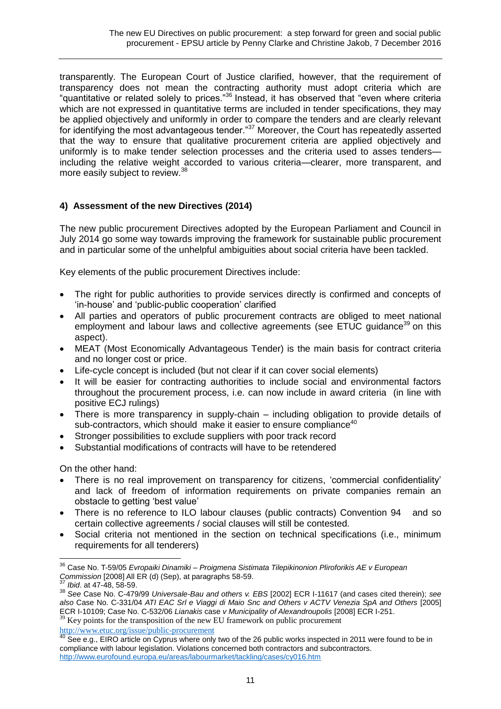transparently. The European Court of Justice clarified, however, that the requirement of transparency does not mean the contracting authority must adopt criteria which are "quantitative or related solely to prices."<sup>36</sup> Instead, it has observed that "even where criteria which are not expressed in quantitative terms are included in tender specifications, they may be applied objectively and uniformly in order to compare the tenders and are clearly relevant for identifying the most advantageous tender."<sup>37</sup> Moreover, the Court has repeatedly asserted that the way to ensure that qualitative procurement criteria are applied objectively and uniformly is to make tender selection processes and the criteria used to asses tenders including the relative weight accorded to various criteria—clearer, more transparent, and more easily subject to review.<sup>38</sup>

# **4) Assessment of the new Directives (2014)**

The new public procurement Directives adopted by the European Parliament and Council in July 2014 go some way towards improving the framework for sustainable public procurement and in particular some of the unhelpful ambiguities about social criteria have been tackled.

Key elements of the public procurement Directives include:

- The right for public authorities to provide services directly is confirmed and concepts of 'in-house' and 'public-public cooperation' clarified
- All parties and operators of public procurement contracts are obliged to meet national employment and labour laws and collective agreements (see  $ETUC$  guidance<sup>39</sup> on this aspect).
- MEAT (Most Economically Advantageous Tender) is the main basis for contract criteria and no longer cost or price.
- Life-cycle concept is included (but not clear if it can cover social elements)
- It will be easier for contracting authorities to include social and environmental factors throughout the procurement process, i.e. can now include in award criteria (in line with positive ECJ rulings)
- There is more transparency in supply-chain including obligation to provide details of sub-contractors, which should make it easier to ensure compliance<sup>40</sup>
- Stronger possibilities to exclude suppliers with poor track record
- Substantial modifications of contracts will have to be retendered

On the other hand:

- There is no real improvement on transparency for citizens, 'commercial confidentiality' and lack of freedom of information requirements on private companies remain an obstacle to getting 'best value'
- There is no reference to ILO labour clauses (public contracts) Convention 94 and so certain collective agreements / social clauses will still be contested.
- Social criteria not mentioned in the section on technical specifications (i.e., minimum requirements for all tenderers)

 $39$  Key points for the transposition of the new EU framework on public procurement

<http://www.etuc.org/issue/public-procurement>

 $\overline{a}$ <sup>36</sup> Case No. T-59/05 *Evropaiki Dinamiki – Proigmena Sistimata Tilepikinonion Pliroforikis AE v European*  **Commission [2008] All ER (d) (Sep), at paragraphs 58-59.**<br><sup>37</sup> Ibid. of *A* 7.008] All ER (d) (Sep), at paragraphs 58-59.

*Ibid.* at 47-48, 58-59.

<sup>38</sup> *See* Case No. C-479/99 *Universale-Bau and others v. EBS* [2002] ECR I-11617 (and cases cited therein); *see also* Case No. C-331/04 *ATI EAC Srl e Viaggi di Maio Snc and Others v ACTV Venezia SpA and Others* [2005] ECR I-10109; Case No. C-532/06 *Lianakis* case *v Municipality of Alexandroupolis* [2008] ECR I-251.

 $^{40}$  See e.g., EIRO article on Cyprus where only two of the 26 public works inspected in 2011 were found to be in compliance with labour legislation. Violations concerned both contractors and subcontractors. <http://www.eurofound.europa.eu/areas/labourmarket/tackling/cases/cy016.htm>